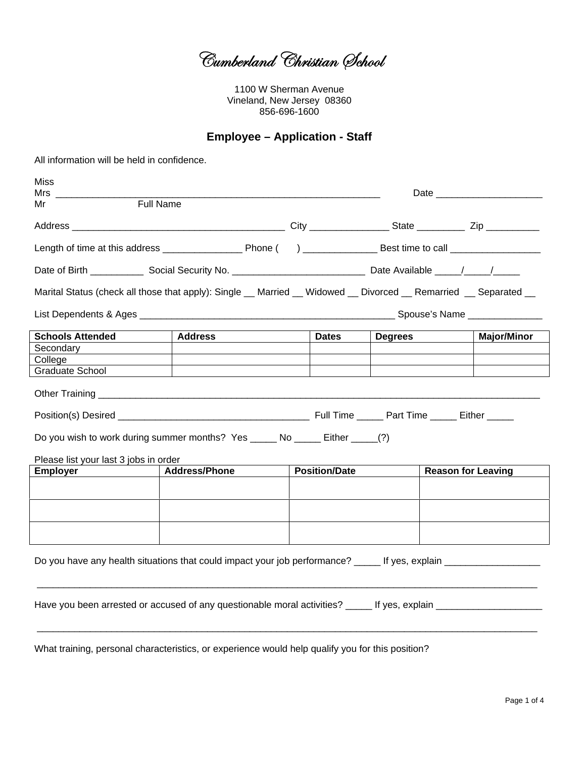Cumberland Christian School

1100 W Sherman Avenue Vineland, New Jersey 08360 856-696-1600

#### **Employee - Application - Staff**

All information will be held in confidence.

| Miss<br>Mrs in the monomer of the monomer of the monomer of the monomer of the monomer of the monomer of the monomer o |                                                                                                                      |  |                      |                |                           |                    |
|------------------------------------------------------------------------------------------------------------------------|----------------------------------------------------------------------------------------------------------------------|--|----------------------|----------------|---------------------------|--------------------|
| Mr                                                                                                                     | <b>Full Name</b>                                                                                                     |  |                      |                |                           |                    |
|                                                                                                                        |                                                                                                                      |  |                      |                |                           |                    |
|                                                                                                                        |                                                                                                                      |  |                      |                |                           |                    |
|                                                                                                                        |                                                                                                                      |  |                      |                |                           |                    |
|                                                                                                                        | Marital Status (check all those that apply): Single __ Married __ Widowed __ Divorced __ Remarried __ Separated __   |  |                      |                |                           |                    |
|                                                                                                                        |                                                                                                                      |  |                      |                |                           |                    |
| <b>Schools Attended</b>                                                                                                | <b>Address</b>                                                                                                       |  | <b>Dates</b>         | <b>Degrees</b> |                           | <b>Major/Minor</b> |
| Secondary                                                                                                              |                                                                                                                      |  |                      |                |                           |                    |
| College                                                                                                                |                                                                                                                      |  |                      |                |                           |                    |
| Graduate School                                                                                                        |                                                                                                                      |  |                      |                |                           |                    |
|                                                                                                                        |                                                                                                                      |  |                      |                |                           |                    |
|                                                                                                                        |                                                                                                                      |  |                      |                |                           |                    |
|                                                                                                                        | Do you wish to work during summer months? Yes _______ No _______ Either ______(?)                                    |  |                      |                |                           |                    |
| Please list your last 3 jobs in order                                                                                  |                                                                                                                      |  |                      |                |                           |                    |
| <b>Employer</b>                                                                                                        | <b>Address/Phone</b>                                                                                                 |  | <b>Position/Date</b> |                | <b>Reason for Leaving</b> |                    |
|                                                                                                                        |                                                                                                                      |  |                      |                |                           |                    |
|                                                                                                                        |                                                                                                                      |  |                      |                |                           |                    |
|                                                                                                                        |                                                                                                                      |  |                      |                |                           |                    |
|                                                                                                                        |                                                                                                                      |  |                      |                |                           |                    |
|                                                                                                                        |                                                                                                                      |  |                      |                |                           |                    |
|                                                                                                                        | Do you have any health situations that could impact your job performance? ______ If yes, explain _____________       |  |                      |                |                           |                    |
|                                                                                                                        |                                                                                                                      |  |                      |                |                           |                    |
|                                                                                                                        | Have you been arrested or accused of any questionable moral activities? _____ If yes, explain ______________________ |  |                      |                |                           |                    |
|                                                                                                                        |                                                                                                                      |  |                      |                |                           |                    |

What training, personal characteristics, or experience would help qualify you for this position?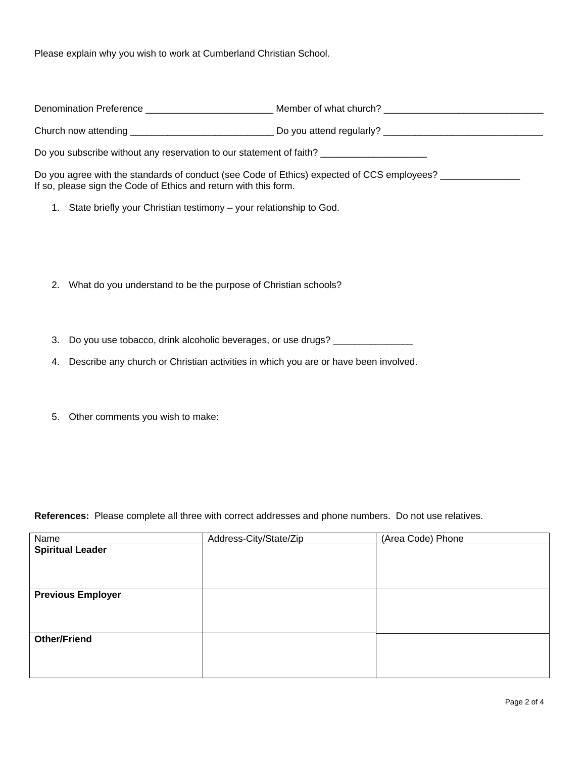Please explain why you wish to work at Cumberland Christian School.

|    |                                                                                         | Denomination Preference ___________________________ Member of what church? ______________________________      |
|----|-----------------------------------------------------------------------------------------|----------------------------------------------------------------------------------------------------------------|
|    |                                                                                         | Church now attending _________________________________ Do you attend regularly? ______________________________ |
|    | Do you subscribe without any reservation to our statement of faith? ___________________ |                                                                                                                |
|    | If so, please sign the Code of Ethics and return with this form.                        | Do you agree with the standards of conduct (see Code of Ethics) expected of CCS employees?                     |
|    | 1. State briefly your Christian testimony – your relationship to God.                   |                                                                                                                |
|    |                                                                                         |                                                                                                                |
|    |                                                                                         |                                                                                                                |
|    | 2. What do you understand to be the purpose of Christian schools?                       |                                                                                                                |
|    |                                                                                         |                                                                                                                |
| 3. | Do you use tobacco, drink alcoholic beverages, or use drugs?                            |                                                                                                                |
| 4. | Describe any church or Christian activities in which you are or have been involved.     |                                                                                                                |
|    |                                                                                         |                                                                                                                |

5. Other comments you wish to make:

**References:** Please complete all three with correct addresses and phone numbers. Do not use relatives.

| Name                     | Address-City/State/Zip | (Area Code) Phone |
|--------------------------|------------------------|-------------------|
| <b>Spiritual Leader</b>  |                        |                   |
|                          |                        |                   |
|                          |                        |                   |
|                          |                        |                   |
| <b>Previous Employer</b> |                        |                   |
|                          |                        |                   |
|                          |                        |                   |
|                          |                        |                   |
| <b>Other/Friend</b>      |                        |                   |
|                          |                        |                   |
|                          |                        |                   |
|                          |                        |                   |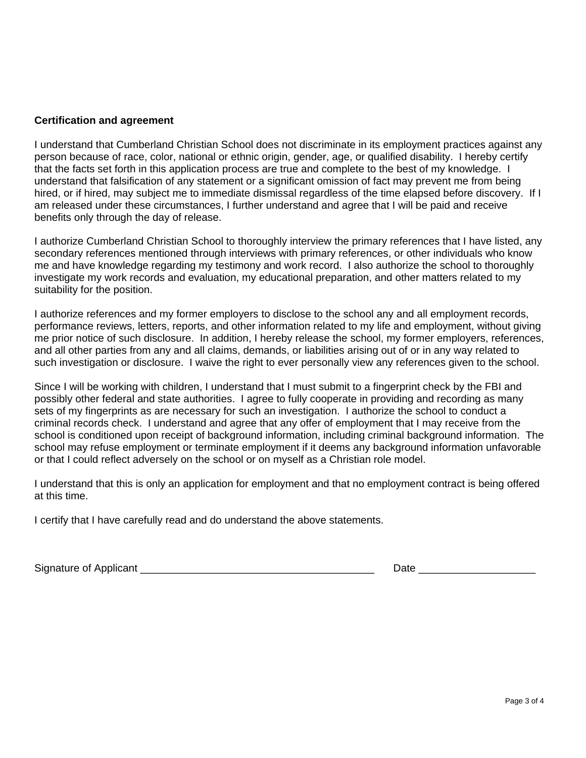#### **Certification and agreement**

I understand that Cumberland Christian School does not discriminate in its employment practices against any person because of race, color, national or ethnic origin, gender, age, or qualified disability. I hereby certify that the facts set forth in this application process are true and complete to the best of my knowledge. I understand that falsification of any statement or a significant omission of fact may prevent me from being hired, or if hired, may subject me to immediate dismissal regardless of the time elapsed before discovery. If I am released under these circumstances, I further understand and agree that I will be paid and receive benefits only through the day of release.

I authorize Cumberland Christian School to thoroughly interview the primary references that I have listed, any secondary references mentioned through interviews with primary references, or other individuals who know me and have knowledge regarding my testimony and work record. I also authorize the school to thoroughly investigate my work records and evaluation, my educational preparation, and other matters related to my suitability for the position.

I authorize references and my former employers to disclose to the school any and all employment records, performance reviews, letters, reports, and other information related to my life and employment, without giving me prior notice of such disclosure. In addition, I hereby release the school, my former employers, references, and all other parties from any and all claims, demands, or liabilities arising out of or in any way related to such investigation or disclosure. I waive the right to ever personally view any references given to the school.

Since I will be working with children, I understand that I must submit to a fingerprint check by the FBI and possibly other federal and state authorities. I agree to fully cooperate in providing and recording as many sets of my fingerprints as are necessary for such an investigation. I authorize the school to conduct a criminal records check. I understand and agree that any offer of employment that I may receive from the school is conditioned upon receipt of background information, including criminal background information. The school may refuse employment or terminate employment if it deems any background information unfavorable or that I could reflect adversely on the school or on myself as a Christian role model.

I understand that this is only an application for employment and that no employment contract is being offered at this time.

I certify that I have carefully read and do understand the above statements.

Signature of Applicant \_\_\_\_\_\_\_\_\_\_\_\_\_\_\_\_\_\_\_\_\_\_\_\_\_\_\_\_\_\_\_\_\_\_\_\_\_\_\_\_ Date \_\_\_\_\_\_\_\_\_\_\_\_\_\_\_\_\_\_\_\_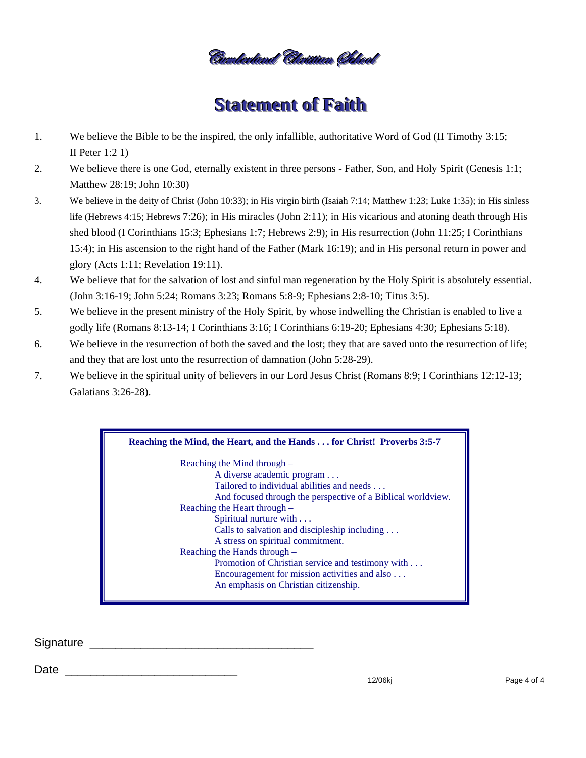nlevland "Cluistian (Iblood

## **Statement of Faith**

- $1.$ We believe the Bible to be the inspired, the only infallible, authoritative Word of God (II Timothy 3:15; II Peter  $1:2 1$
- 2. We believe there is one God, eternally existent in three persons - Father, Son, and Holy Spirit (Genesis 1:1; Matthew 28:19; John 10:30)
- We believe in the deity of Christ (John 10:33); in His virgin birth (Isaiah 7:14; Matthew 1:23; Luke 1:35); in His sinless 3. life (Hebrews 4:15; Hebrews 7:26); in His miracles (John 2:11); in His vicarious and atoning death through His shed blood (I Corinthians 15:3; Ephesians 1:7; Hebrews 2:9); in His resurrection (John 11:25; I Corinthians 15:4); in His ascension to the right hand of the Father (Mark 16:19); and in His personal return in power and glory (Acts 1:11; Revelation 19:11).
- We believe that for the salvation of lost and sinful man regeneration by the Holy Spirit is absolutely essential.  $\overline{4}$ . (John 3:16-19; John 5:24; Romans 3:23; Romans 5:8-9; Ephesians 2:8-10; Titus 3:5).
- 5. We believe in the present ministry of the Holy Spirit, by whose indwelling the Christian is enabled to live a godly life (Romans 8:13-14; I Corinthians 3:16; I Corinthians 6:19-20; Ephesians 4:30; Ephesians 5:18).
- 6. We believe in the resurrection of both the saved and the lost; they that are saved unto the resurrection of life; and they that are lost unto the resurrection of damnation (John 5:28-29).
- $7.$ We believe in the spiritual unity of believers in our Lord Jesus Christ (Romans 8:9; I Corinthians 12:12-13; Galatians 3:26-28).

#### Reaching the Mind, the Heart, and the Hands . . . for Christ! Proverbs 3:5-7 Reaching the Mind through -A diverse academic program . . . Tailored to individual abilities and needs . . . And focused through the perspective of a Biblical worldview. Reaching the Heart through – Spiritual nurture with . . . Calls to salvation and discipleship including ... A stress on spiritual commitment. Reaching the Hands through -Promotion of Christian service and testimony with ... Encouragement for mission activities and also ... An emphasis on Christian citizenship.

Signature **Signature** and the state of the state of the state of the state of the state of the state of the state of the state of the state of the state of the state of the state of the state of the state of the state of t

Date and the contract of the contract of the contract of the contract of the contract of the contract of the contract of the contract of the contract of the contract of the contract of the contract of the contract of the c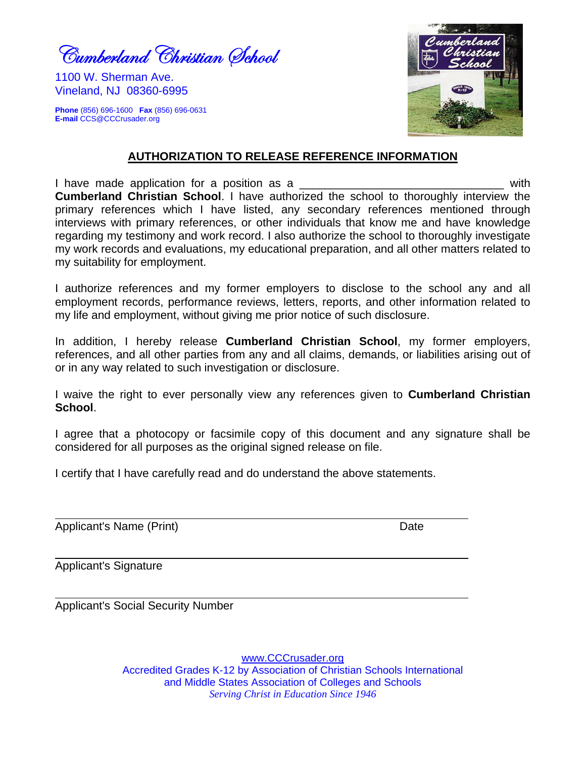Cumberland Christian Øchool

1100 W. Sherman Ave. Vineland, NJ 08360-6995

**Phone** (856) 696-1600 **Fax** (856) 696-0631 **E-mail** CCS@CCCrusader.org



#### **AUTHORIZATION TO RELEASE REFERENCE INFORMATION**

I have made application for a position as a \_\_\_\_\_\_\_\_\_\_\_\_\_\_\_\_\_\_\_\_\_\_\_\_\_\_\_\_\_\_\_\_ with **Cumberland Christian School**. I have authorized the school to thoroughly interview the primary references which I have listed, any secondary references mentioned through interviews with primary references, or other individuals that know me and have knowledge regarding my testimony and work record. I also authorize the school to thoroughly investigate my work records and evaluations, my educational preparation, and all other matters related to my suitability for employment.

I authorize references and my former employers to disclose to the school any and all employment records, performance reviews, letters, reports, and other information related to my life and employment, without giving me prior notice of such disclosure.

In addition, I hereby release **Cumberland Christian School**, my former employers, references, and all other parties from any and all claims, demands, or liabilities arising out of or in any way related to such investigation or disclosure.

I waive the right to ever personally view any references given to **Cumberland Christian School**.

I agree that a photocopy or facsimile copy of this document and any signature shall be considered for all purposes as the original signed release on file.

I certify that I have carefully read and do understand the above statements.

Applicant's Name (Print) **Date** 

Applicant's Signature

Applicant's Social Security Number

www.CCCrusader.org Accredited Grades K-12 by Association of Christian Schools International and Middle States Association of Colleges and Schools *Serving Christ in Education Since 1946*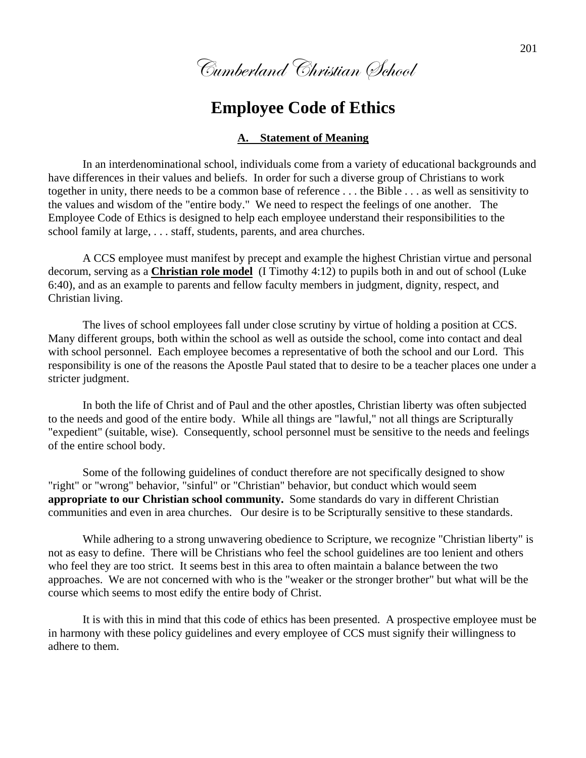Cumberland Christian School

## **Employee Code of Ethics**

#### **A. Statement of Meaning**

In an interdenominational school, individuals come from a variety of educational backgrounds and have differences in their values and beliefs. In order for such a diverse group of Christians to work together in unity, there needs to be a common base of reference . . . the Bible . . . as well as sensitivity to the values and wisdom of the "entire body." We need to respect the feelings of one another. The Employee Code of Ethics is designed to help each employee understand their responsibilities to the school family at large, . . . staff, students, parents, and area churches.

A CCS employee must manifest by precept and example the highest Christian virtue and personal decorum, serving as a **Christian role model** (I Timothy 4:12) to pupils both in and out of school (Luke 6:40), and as an example to parents and fellow faculty members in judgment, dignity, respect, and Christian living.

The lives of school employees fall under close scrutiny by virtue of holding a position at CCS. Many different groups, both within the school as well as outside the school, come into contact and deal with school personnel. Each employee becomes a representative of both the school and our Lord. This responsibility is one of the reasons the Apostle Paul stated that to desire to be a teacher places one under a stricter judgment.

In both the life of Christ and of Paul and the other apostles, Christian liberty was often subjected to the needs and good of the entire body. While all things are "lawful," not all things are Scripturally "expedient" (suitable, wise). Consequently, school personnel must be sensitive to the needs and feelings of the entire school body.

Some of the following guidelines of conduct therefore are not specifically designed to show "right" or "wrong" behavior, "sinful" or "Christian" behavior, but conduct which would seem **appropriate to our Christian school community.** Some standards do vary in different Christian communities and even in area churches. Our desire is to be Scripturally sensitive to these standards.

While adhering to a strong unwavering obedience to Scripture, we recognize "Christian liberty" is not as easy to define. There will be Christians who feel the school guidelines are too lenient and others who feel they are too strict. It seems best in this area to often maintain a balance between the two approaches. We are not concerned with who is the "weaker or the stronger brother" but what will be the course which seems to most edify the entire body of Christ.

 It is with this in mind that this code of ethics has been presented. A prospective employee must be in harmony with these policy guidelines and every employee of CCS must signify their willingness to adhere to them.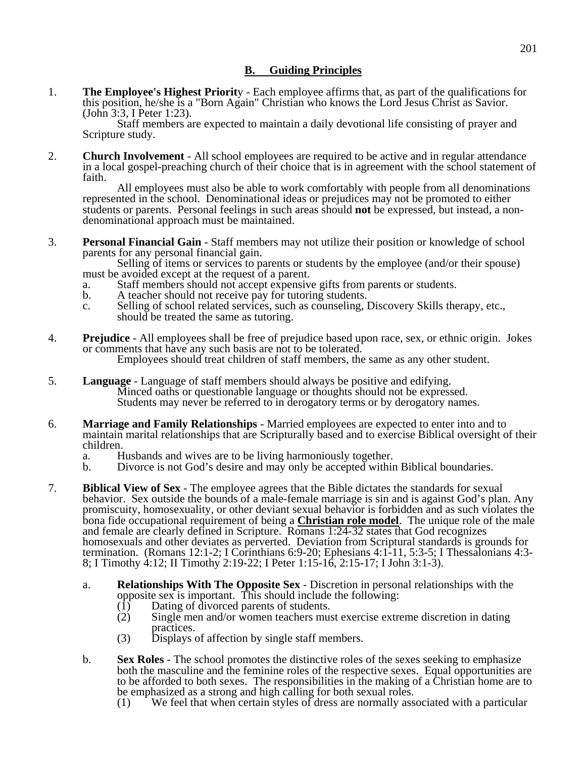#### **B. Guiding Principles**

1. **The Employee's Highest Priorit**y - Each employee affirms that, as part of the qualifications for this position, he/she is a "Born Again" Christian who knows the Lord Jesus Christ as Savior. (John 3:3, I Peter 1:23).

Staff members are expected to maintain a daily devotional life consisting of prayer and Scripture study.

2. **Church Involvement** - All school employees are required to be active and in regular attendance in a local gospel-preaching church of their choice that is in agreement with the school statement of faith.

All employees must also be able to work comfortably with people from all denominations represented in the school. Denominational ideas or prejudices may not be promoted to either students or parents. Personal feelings in such areas should **not** be expressed, but instead, a nondenominational approach must be maintained.

3. **Personal Financial Gain** - Staff members may not utilize their position or knowledge of school parents for any personal financial gain.

Selling of items or services to parents or students by the employee (and/or their spouse) must be avoided except at the request of a parent.

- a. Staff members should not accept expensive gifts from parents or students.
- b. A teacher should not receive pay for tutoring students.
- c. Selling of school related services, such as counseling, Discovery Skills therapy, etc., should be treated the same as tutoring.
- 4. **Prejudice** All employees shall be free of prejudice based upon race, sex, or ethnic origin. Jokes or comments that have any such basis are not to be tolerated. Employees should treat children of staff members, the same as any other student.
	-
- 5. **Language** Language of staff members should always be positive and edifying. Minced oaths or questionable language or thoughts should not be expressed. Students may never be referred to in derogatory terms or by derogatory names.
- 6. **Marriage and Family Relationships** Married employees are expected to enter into and to maintain marital relationships that are Scripturally based and to exercise Biblical oversight of their children.
	- a. Husbands and wives are to be living harmoniously together.
	- b. Divorce is not God's desire and may only be accepted within Biblical boundaries.
- 7. **Biblical View of Sex** The employee agrees that the Bible dictates the standards for sexual behavior. Sex outside the bounds of a male-female marriage is sin and is against God's plan. Any promiscuity, homosexuality, or other deviant sexual behavior is forbidden and as such violates the bona fide occupational requirement of being a **Christian role model**. The unique role of the male and female are clearly defined in Scripture. Romans 1:24-32 states that God recognizes homosexuals and other deviates as perverted. Deviation from Scriptural standards is grounds for termination. (Romans 12:1-2; I Corinthians 6:9-20; Ephesians 4:1-11, 5:3-5; I Thessalonians 4:3- 8; I Timothy 4:12; II Timothy 2:19-22; I Peter 1:15-16, 2:15-17; I John 3:1-3).
	- a. **Relationships With The Opposite Sex** Discretion in personal relationships with the opposite sex is important. This should include the following:
		- (1) Dating of divorced parents of students.
		- (2) Single men and/or women teachers must exercise extreme discretion in dating practices.<br>(3) Displays
		- Displays of affection by single staff members.
	- b. **Sex Roles** The school promotes the distinctive roles of the sexes seeking to emphasize both the masculine and the feminine roles of the respective sexes. Equal opportunities are to be afforded to both sexes. The responsibilities in the making of a Christian home are to be emphasized as a strong and high calling for both sexual roles.
		- (1) We feel that when certain styles of dress are normally associated with a particular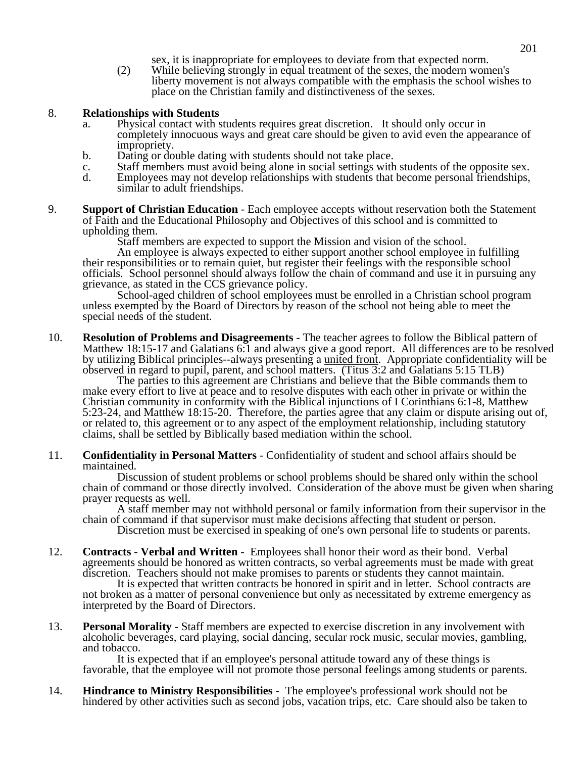- sex, it is inappropriate for employees to deviate from that expected norm.
- (2) While believing strongly in equal treatment of the sexes, the modern women's liberty movement is not always compatible with the emphasis the school wishes to place on the Christian family and distinctiveness of the sexes.

#### 8. **Relationships with Students**

- a. Physical contact with students requires great discretion. It should only occur in completely innocuous ways and great care should be given to avid even the appearance of impropriety.
- b. Dating or double dating with students should not take place.
- c. Staff members must avoid being alone in social settings with students of the opposite sex.<br>d. Employees may not develop relationships with students that become personal friendships.
- Employees may not develop relationships with students that become personal friendships, similar to adult friendships.
- 9. **Support of Christian Education** Each employee accepts without reservation both the Statement of Faith and the Educational Philosophy and Objectives of this school and is committed to upholding them.

Staff members are expected to support the Mission and vision of the school.

An employee is always expected to either support another school employee in fulfilling their responsibilities or to remain quiet, but register their feelings with the responsible school officials. School personnel should always follow the chain of command and use it in pursuing any grievance, as stated in the CCS grievance policy.

School-aged children of school employees must be enrolled in a Christian school program unless exempted by the Board of Directors by reason of the school not being able to meet the special needs of the student.

10. **Resolution of Problems and Disagreements** - The teacher agrees to follow the Biblical pattern of Matthew 18:15-17 and Galatians 6:1 and always give a good report. All differences are to be resolved by utilizing Biblical principles--always presenting a united front. Appropriate confidentiality will be observed in regard to pupil, parent, and school matters. (Titus 3:2 and Galatians 5:15 TLB)

The parties to this agreement are Christians and believe that the Bible commands them to make every effort to live at peace and to resolve disputes with each other in private or within the Christian community in conformity with the Biblical injunctions of I Corinthians 6:1-8, Matthew 5:23-24, and Matthew 18:15-20. Therefore, the parties agree that any claim or dispute arising out of, or related to, this agreement or to any aspect of the employment relationship, including statutory claims, shall be settled by Biblically based mediation within the school.

11. **Confidentiality in Personal Matters** - Confidentiality of student and school affairs should be maintained.

 Discussion of student problems or school problems should be shared only within the school chain of command or those directly involved. Consideration of the above must be given when sharing prayer requests as well.

 A staff member may not withhold personal or family information from their supervisor in the chain of command if that supervisor must make decisions affecting that student or person.

Discretion must be exercised in speaking of one's own personal life to students or parents.

12. **Contracts - Verbal and Written** - Employees shall honor their word as their bond. Verbal agreements should be honored as written contracts, so verbal agreements must be made with great discretion. Teachers should not make promises to parents or students they cannot maintain. It is expected that written contracts be honored in spirit and in letter. School contracts are

not broken as a matter of personal convenience but only as necessitated by extreme emergency as interpreted by the Board of Directors.

13. **Personal Morality** - Staff members are expected to exercise discretion in any involvement with alcoholic beverages, card playing, social dancing, secular rock music, secular movies, gambling, and tobacco.

It is expected that if an employee's personal attitude toward any of these things is favorable, that the employee will not promote those personal feelings among students or parents.

14. **Hindrance to Ministry Responsibilities** - The employee's professional work should not be hindered by other activities such as second jobs, vacation trips, etc. Care should also be taken to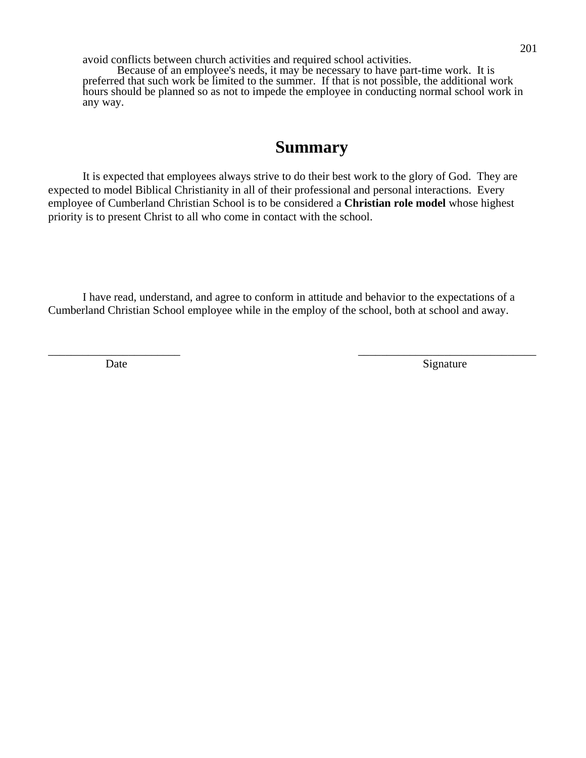avoid conflicts between church activities and required school activities.

Because of an employee's needs, it may be necessary to have part-time work. It is preferred that such work be limited to the summer. If that is not possible, the additional work hours should be planned so as not to impede the employee in conducting normal school work in any way.

## **Summary**

It is expected that employees always strive to do their best work to the glory of God. They are expected to model Biblical Christianity in all of their professional and personal interactions. Every employee of Cumberland Christian School is to be considered a **Christian role model** whose highest priority is to present Christ to all who come in contact with the school.

 I have read, understand, and agree to conform in attitude and behavior to the expectations of a Cumberland Christian School employee while in the employ of the school, both at school and away.

 $\overline{\phantom{a}}$  , and the contract of the contract of the contract of the contract of the contract of the contract of the contract of the contract of the contract of the contract of the contract of the contract of the contrac

Date Signature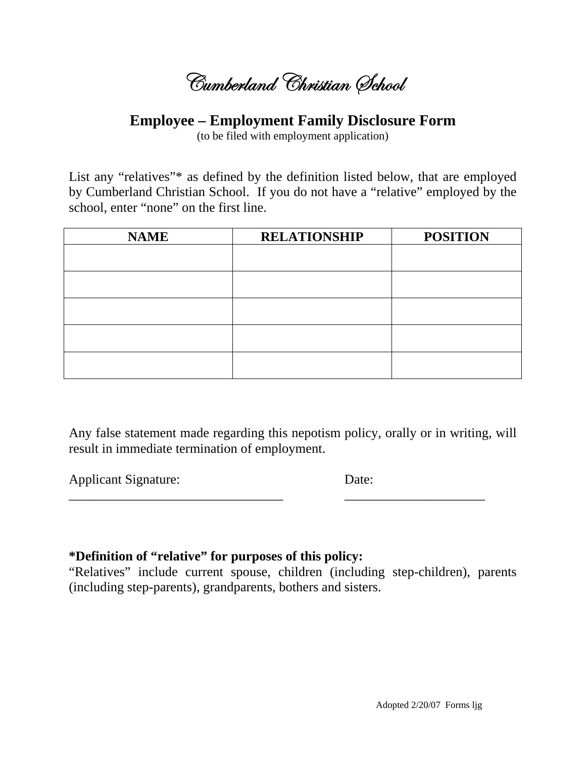Cumberland Christian Øchool

### **Employee – Employment Family Disclosure Form**

(to be filed with employment application)

List any "relatives"\* as defined by the definition listed below, that are employed by Cumberland Christian School. If you do not have a "relative" employed by the school, enter "none" on the first line.

| <b>NAME</b> | <b>RELATIONSHIP</b> | <b>POSITION</b> |
|-------------|---------------------|-----------------|
|             |                     |                 |
|             |                     |                 |
|             |                     |                 |
|             |                     |                 |
|             |                     |                 |
|             |                     |                 |
|             |                     |                 |
|             |                     |                 |
|             |                     |                 |
|             |                     |                 |

Any false statement made regarding this nepotism policy, orally or in writing, will result in immediate termination of employment.

**Applicant Signature:** 

Date:

### \*Definition of "relative" for purposes of this policy:

"Relatives" include current spouse, children (including step-children), parents (including step-parents), grandparents, bothers and sisters.